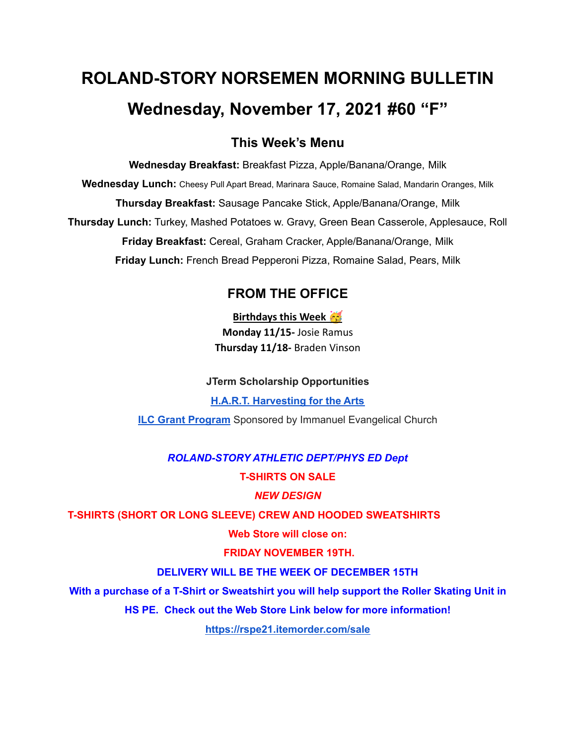# **ROLAND-STORY NORSEMEN MORNING BULLETIN Wednesday, November 17, 2021 #60 "F"**

### **This Week's Menu**

**Wednesday Breakfast:** Breakfast Pizza, Apple/Banana/Orange, Milk **Wednesday Lunch:** Cheesy Pull Apart Bread, Marinara Sauce, Romaine Salad, Mandarin Oranges, Milk **Thursday Breakfast:** Sausage Pancake Stick, Apple/Banana/Orange, Milk **Thursday Lunch:** Turkey, Mashed Potatoes w. Gravy, Green Bean Casserole, Applesauce, Roll **Friday Breakfast:** Cereal, Graham Cracker, Apple/Banana/Orange, Milk **Friday Lunch:** French Bread Pepperoni Pizza, Romaine Salad, Pears, Milk

## **FROM THE OFFICE**

**Birthdays this Week** 

**Monday 11/15-** Josie Ramus **Thursday 11/18-** Braden Vinson

#### **JTerm Scholarship Opportunities**

**H.A.R.T. [Harvesting](https://drive.google.com/file/d/11g4-lZB5o7SgG3y5R4Ux7ycNKvq857Rx/view?usp=sharing) for the Arts ILC Grant [Program](https://docs.google.com/document/d/1b9DHMpZaVSj48gvRrAlQ3TA3HICpz-mx/edit?usp=sharing&ouid=114282091537110464265&rtpof=true&sd=true)** Sponsored by Immanuel Evangelical Church

# *ROLAND-STORY ATHLETIC DEPT/PHYS ED Dept*

#### **T-SHIRTS ON SALE**

#### *NEW DESIGN*

**T-SHIRTS (SHORT OR LONG SLEEVE) CREW AND HOODED SWEATSHIRTS**

**Web Store will close on:**

#### **FRIDAY NOVEMBER 19TH.**

#### **DELIVERY WILL BE THE WEEK OF DECEMBER 15TH**

**With a purchase of a T-Shirt or Sweatshirt you will help support the Roller Skating Unit in**

**HS PE. Check out the Web Store Link below for more information!**

**<https://rspe21.itemorder.com/sale>**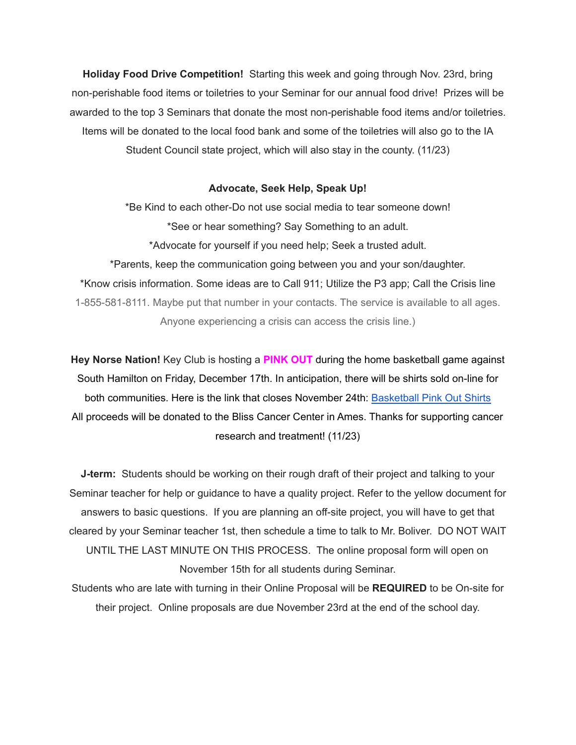**Holiday Food Drive Competition!** Starting this week and going through Nov. 23rd, bring non-perishable food items or toiletries to your Seminar for our annual food drive! Prizes will be awarded to the top 3 Seminars that donate the most non-perishable food items and/or toiletries. Items will be donated to the local food bank and some of the toiletries will also go to the IA Student Council state project, which will also stay in the county. (11/23)

#### **Advocate, Seek Help, Speak Up!**

\*Be Kind to each other-Do not use social media to tear someone down! \*See or hear something? Say Something to an adult. \*Advocate for yourself if you need help; Seek a trusted adult. \*Parents, keep the communication going between you and your son/daughter. \*Know crisis information. Some ideas are to Call 911; Utilize the P3 app; Call the Crisis line 1-855-581-8111. Maybe put that number in your contacts. The service is available to all ages. Anyone experiencing a crisis can access the crisis line.)

**Hey Norse Nation!** Key Club is hosting a **PINK OUT** during the home basketball game against South Hamilton on Friday, December 17th. In anticipation, there will be shirts sold on-line for both communities. Here is the link that closes November 24th: [Basketball](https://rsshcvc21.itemorder.com/shop/sale/?saleCode=VJQ3K) Pink Out Shirts All proceeds will be donated to the Bliss Cancer Center in Ames. Thanks for supporting cancer research and treatment! (11/23)

**J-term:** Students should be working on their rough draft of their project and talking to your Seminar teacher for help or guidance to have a quality project. Refer to the yellow document for answers to basic questions. If you are planning an off-site project, you will have to get that cleared by your Seminar teacher 1st, then schedule a time to talk to Mr. Boliver. DO NOT WAIT UNTIL THE LAST MINUTE ON THIS PROCESS. The online proposal form will open on November 15th for all students during Seminar.

Students who are late with turning in their Online Proposal will be **REQUIRED** to be On-site for their project. Online proposals are due November 23rd at the end of the school day.